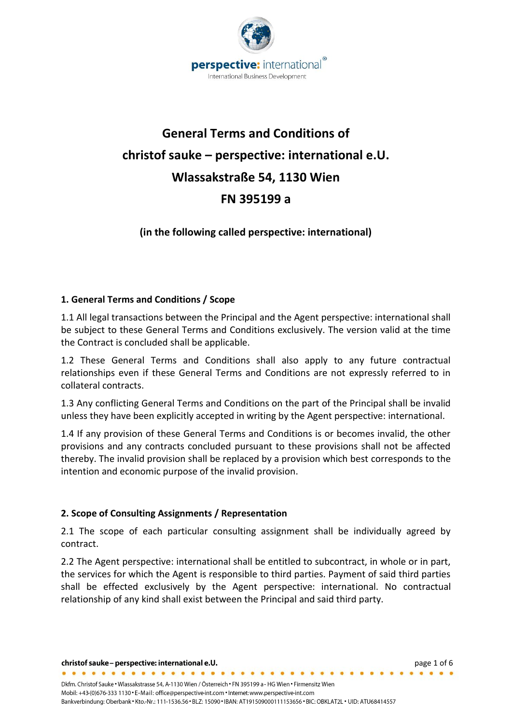

# **General Terms and Conditions of christof sauke – perspective: international e.U. Wlassakstraße 54, 1130 Wien FN 395199 a**

# **(in the following called perspective: international)**

# **1. General Terms and Conditions / Scope**

1.1 All legal transactions between the Principal and the Agent perspective: international shall be subject to these General Terms and Conditions exclusively. The version valid at the time the Contract is concluded shall be applicable.

1.2 These General Terms and Conditions shall also apply to any future contractual relationships even if these General Terms and Conditions are not expressly referred to in collateral contracts.

1.3 Any conflicting General Terms and Conditions on the part of the Principal shall be invalid unless they have been explicitly accepted in writing by the Agent perspective: international.

1.4 If any provision of these General Terms and Conditions is or becomes invalid, the other provisions and any contracts concluded pursuant to these provisions shall not be affected thereby. The invalid provision shall be replaced by a provision which best corresponds to the intention and economic purpose of the invalid provision.

# **2. Scope of Consulting Assignments / Representation**

christof sauke - perspective: international e.U.

2.1 The scope of each particular consulting assignment shall be individually agreed by contract.

2.2 The Agent perspective: international shall be entitled to subcontract, in whole or in part, the services for which the Agent is responsible to third parties. Payment of said third parties shall be effected exclusively by the Agent perspective: international. No contractual relationship of any kind shall exist between the Principal and said third party.

page 1 of 6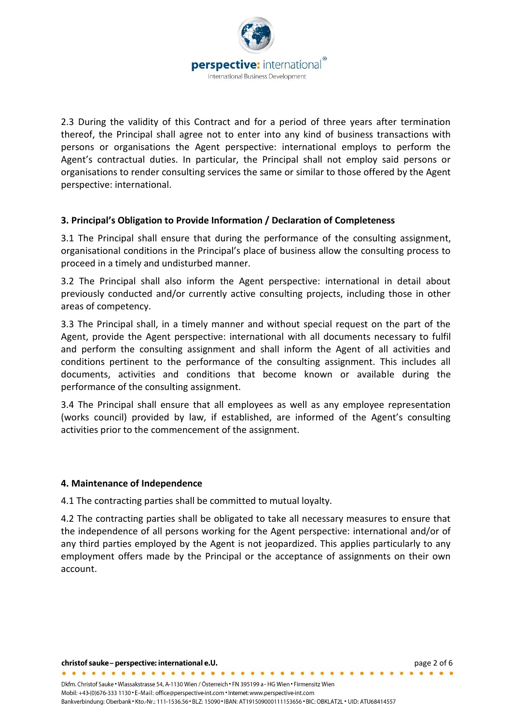

2.3 During the validity of this Contract and for a period of three years after termination thereof, the Principal shall agree not to enter into any kind of business transactions with persons or organisations the Agent perspective: international employs to perform the Agent's contractual duties. In particular, the Principal shall not employ said persons or organisations to render consulting services the same or similar to those offered by the Agent perspective: international.

# **3. Principal's Obligation to Provide Information / Declaration of Completeness**

3.1 The Principal shall ensure that during the performance of the consulting assignment, organisational conditions in the Principal's place of business allow the consulting process to proceed in a timely and undisturbed manner.

3.2 The Principal shall also inform the Agent perspective: international in detail about previously conducted and/or currently active consulting projects, including those in other areas of competency.

3.3 The Principal shall, in a timely manner and without special request on the part of the Agent, provide the Agent perspective: international with all documents necessary to fulfil and perform the consulting assignment and shall inform the Agent of all activities and conditions pertinent to the performance of the consulting assignment. This includes all documents, activities and conditions that become known or available during the performance of the consulting assignment.

3.4 The Principal shall ensure that all employees as well as any employee representation (works council) provided by law, if established, are informed of the Agent's consulting activities prior to the commencement of the assignment.

## **4. Maintenance of Independence**

christof sauke - perspective: international e.U. . . . . . . . . . . . . . . . . .

4.1 The contracting parties shall be committed to mutual loyalty.

4.2 The contracting parties shall be obligated to take all necessary measures to ensure that the independence of all persons working for the Agent perspective: international and/or of any third parties employed by the Agent is not jeopardized. This applies particularly to any employment offers made by the Principal or the acceptance of assignments on their own account.

page 2 of 6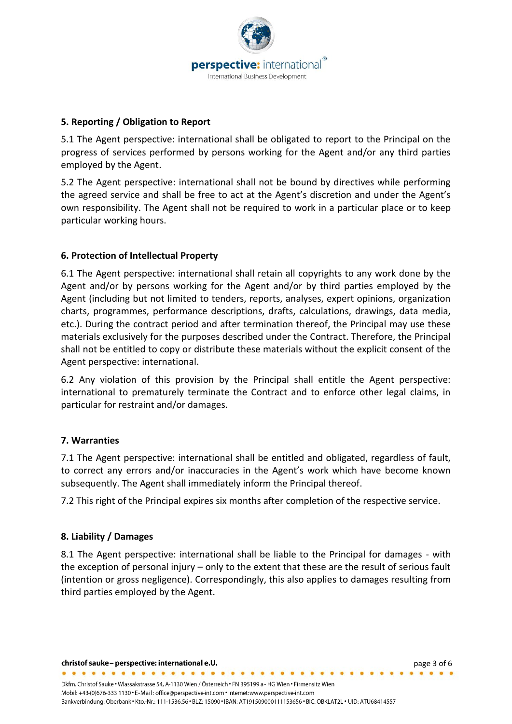

## **5. Reporting / Obligation to Report**

5.1 The Agent perspective: international shall be obligated to report to the Principal on the progress of services performed by persons working for the Agent and/or any third parties employed by the Agent.

5.2 The Agent perspective: international shall not be bound by directives while performing the agreed service and shall be free to act at the Agent's discretion and under the Agent's own responsibility. The Agent shall not be required to work in a particular place or to keep particular working hours.

# **6. Protection of Intellectual Property**

6.1 The Agent perspective: international shall retain all copyrights to any work done by the Agent and/or by persons working for the Agent and/or by third parties employed by the Agent (including but not limited to tenders, reports, analyses, expert opinions, organization charts, programmes, performance descriptions, drafts, calculations, drawings, data media, etc.). During the contract period and after termination thereof, the Principal may use these materials exclusively for the purposes described under the Contract. Therefore, the Principal shall not be entitled to copy or distribute these materials without the explicit consent of the Agent perspective: international.

6.2 Any violation of this provision by the Principal shall entitle the Agent perspective: international to prematurely terminate the Contract and to enforce other legal claims, in particular for restraint and/or damages.

# **7. Warranties**

7.1 The Agent perspective: international shall be entitled and obligated, regardless of fault, to correct any errors and/or inaccuracies in the Agent's work which have become known subsequently. The Agent shall immediately inform the Principal thereof.

7.2 This right of the Principal expires six months after completion of the respective service.

## **8. Liability / Damages**

8.1 The Agent perspective: international shall be liable to the Principal for damages - with the exception of personal injury – only to the extent that these are the result of serious fault (intention or gross negligence). Correspondingly, this also applies to damages resulting from third parties employed by the Agent.

page 3 of 6

#### christof sauke - perspective: international e.U.

. . . . . . . . . . . . . . . .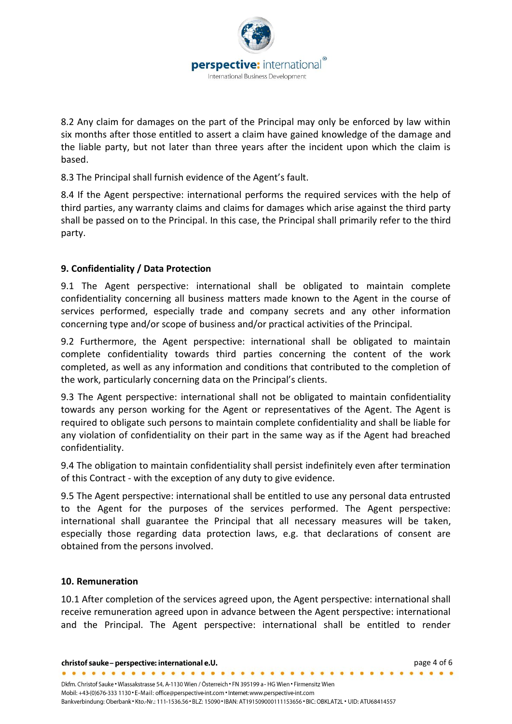

8.2 Any claim for damages on the part of the Principal may only be enforced by law within six months after those entitled to assert a claim have gained knowledge of the damage and the liable party, but not later than three years after the incident upon which the claim is based.

8.3 The Principal shall furnish evidence of the Agent's fault.

8.4 If the Agent perspective: international performs the required services with the help of third parties, any warranty claims and claims for damages which arise against the third party shall be passed on to the Principal. In this case, the Principal shall primarily refer to the third party.

# **9. Confidentiality / Data Protection**

9.1 The Agent perspective: international shall be obligated to maintain complete confidentiality concerning all business matters made known to the Agent in the course of services performed, especially trade and company secrets and any other information concerning type and/or scope of business and/or practical activities of the Principal.

9.2 Furthermore, the Agent perspective: international shall be obligated to maintain complete confidentiality towards third parties concerning the content of the work completed, as well as any information and conditions that contributed to the completion of the work, particularly concerning data on the Principal's clients.

9.3 The Agent perspective: international shall not be obligated to maintain confidentiality towards any person working for the Agent or representatives of the Agent. The Agent is required to obligate such persons to maintain complete confidentiality and shall be liable for any violation of confidentiality on their part in the same way as if the Agent had breached confidentiality.

9.4 The obligation to maintain confidentiality shall persist indefinitely even after termination of this Contract - with the exception of any duty to give evidence.

9.5 The Agent perspective: international shall be entitled to use any personal data entrusted to the Agent for the purposes of the services performed. The Agent perspective: international shall guarantee the Principal that all necessary measures will be taken, especially those regarding data protection laws, e.g. that declarations of consent are obtained from the persons involved.

## **10. Remuneration**

10.1 After completion of the services agreed upon, the Agent perspective: international shall receive remuneration agreed upon in advance between the Agent perspective: international and the Principal. The Agent perspective: international shall be entitled to render

page 4 of 6

#### christof sauke - perspective: international e.U. . . . . . . . . . . . . . . . . .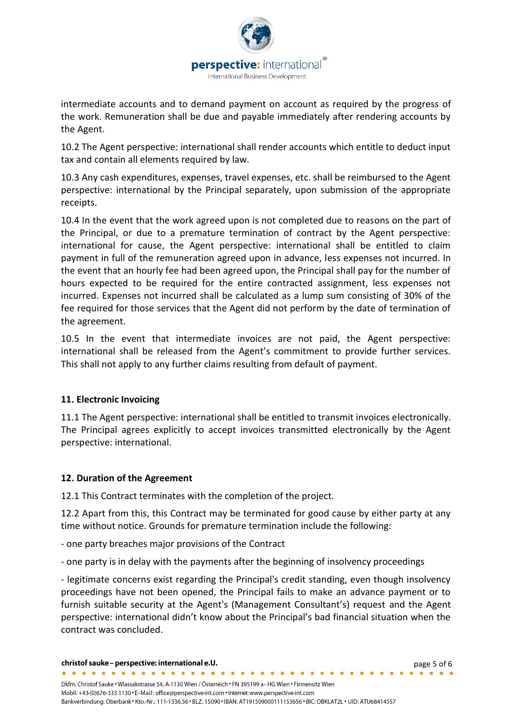

intermediate accounts and to demand payment on account as required by the progress of the work. Remuneration shall be due and payable immediately after rendering accounts by the Agent.

10.2 The Agent perspective: international shall render accounts which entitle to deduct input tax and contain all elements required by law.

10.3 Any cash expenditures, expenses, travel expenses, etc. shall be reimbursed to the Agent perspective: international by the Principal separately, upon submission of the appropriate receipts.

10.4 In the event that the work agreed upon is not completed due to reasons on the part of the Principal, or due to a premature termination of contract by the Agent perspective: international for cause, the Agent perspective: international shall be entitled to claim payment in full of the remuneration agreed upon in advance, less expenses not incurred. In the event that an hourly fee had been agreed upon, the Principal shall pay for the number of hours expected to be required for the entire contracted assignment, less expenses not incurred. Expenses not incurred shall be calculated as a lump sum consisting of 30% of the fee required for those services that the Agent did not perform by the date of termination of the agreement.

10.5 In the event that intermediate invoices are not paid, the Agent perspective: international shall be released from the Agent's commitment to provide further services. This shall not apply to any further claims resulting from default of payment.

## **11. Electronic Invoicing**

11.1 The Agent perspective: international shall be entitled to transmit invoices electronically. The Principal agrees explicitly to accept invoices transmitted electronically by the Agent perspective: international.

## **12. Duration of the Agreement**

12.1 This Contract terminates with the completion of the project.

12.2 Apart from this, this Contract may be terminated for good cause by either party at any time without notice. Grounds for premature termination include the following:

- one party breaches major provisions of the Contract
- one party is in delay with the payments after the beginning of insolvency proceedings

- legitimate concerns exist regarding the Principal's credit standing, even though insolvency proceedings have not been opened, the Principal fails to make an advance payment or to furnish suitable security at the Agent's (Management Consultant's) request and the Agent perspective: international didn't know about the Principal's bad financial situation when the contract was concluded.

 $\begin{array}{ccccccccccccccccc} \bullet & \bullet & \bullet & \bullet & \bullet & \bullet & \bullet \end{array}$ 

page 5 of 6

#### christof sauke - perspective: international e.U. . . . . . . . . . . . . . . . . .